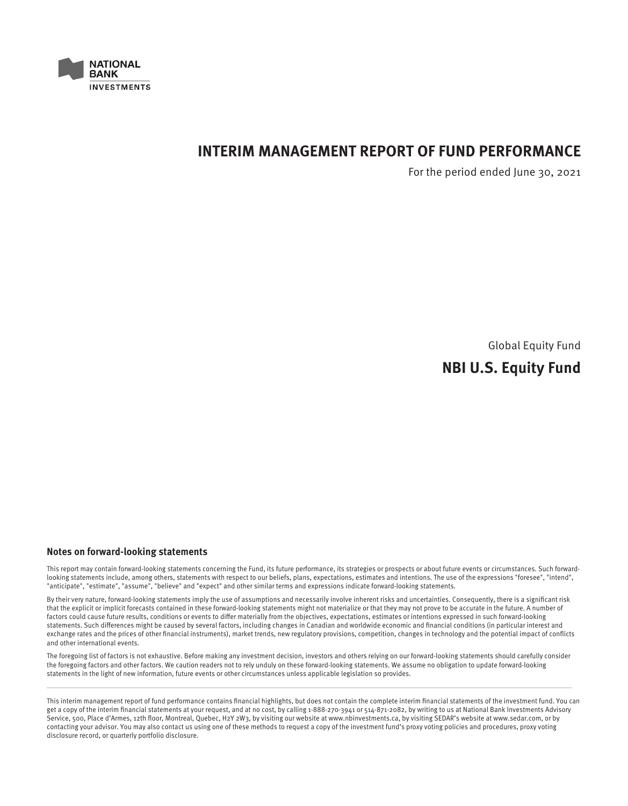

# **INTERIM MANAGEMENT REPORT OF FUND PERFORMANCE**

For the period ended June 30, 2021

Global Equity Fund

# **NBI U.S. Equity Fund**

### **Notes on forward-looking statements**

This report may contain forward-looking statements concerning the Fund, its future performance, its strategies or prospects or about future events or circumstances. Such forwardlooking statements include, among others, statements with respect to our beliefs, plans, expectations, estimates and intentions. The use of the expressions "foresee", "intend", "anticipate", "estimate", "assume", "believe" and "expect" and other similar terms and expressions indicate forward-looking statements.

By their very nature, forward-looking statements imply the use of assumptions and necessarily involve inherent risks and uncertainties. Consequently, there is a significant risk that the explicit or implicit forecasts contained in these forward-looking statements might not materialize or that they may not prove to be accurate in the future. A number of factors could cause future results, conditions or events to differ materially from the objectives, expectations, estimates or intentions expressed in such forward-looking statements. Such differences might be caused by several factors, including changes in Canadian and worldwide economic and financial conditions (in particular interest and exchange rates and the prices of other financial instruments), market trends, new regulatory provisions, competition, changes in technology and the potential impact of conflicts and other international events.

The foregoing list of factors is not exhaustive. Before making any investment decision, investors and others relying on our forward-looking statements should carefully consider the foregoing factors and other factors. We caution readers not to rely unduly on these forward-looking statements. We assume no obligation to update forward-looking statements in the light of new information, future events or other circumstances unless applicable legislation so provides.

This interim management report of fund performance contains financial highlights, but does not contain the complete interim financial statements of the investment fund. You can get a copy of the interim financial statements at your request, and at no cost, by calling 1-888-270-3941 or 514-871-2082, by writing to us at National Bank Investments Advisory Service, 500, Place d'Armes, 12th floor, Montreal, Quebec, H2Y 2W3, by visiting our website at www.nbinvestments.ca, by visiting SEDAR's website at www.sedar.com, or by contacting your advisor. You may also contact us using one of these methods to request a copy of the investment fund's proxy voting policies and procedures, proxy voting disclosure record, or quarterly portfolio disclosure.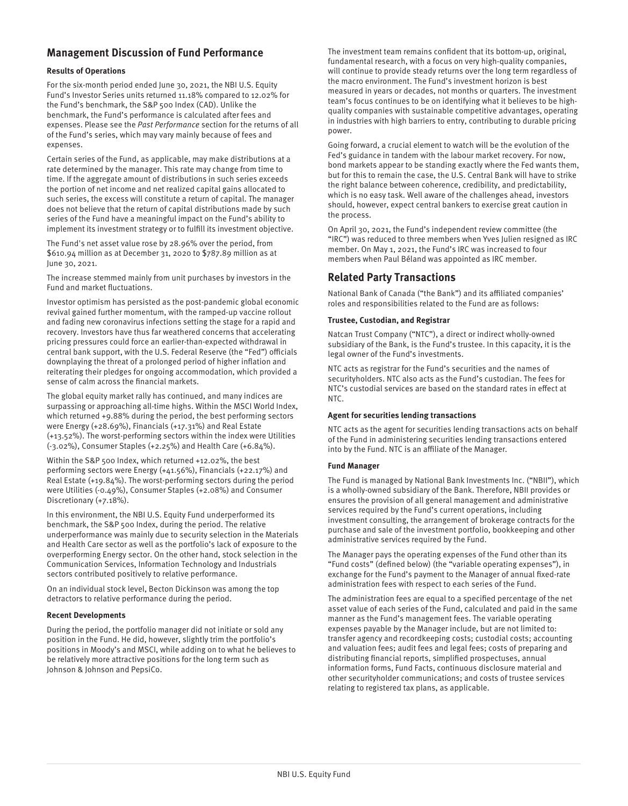## **Management Discussion of Fund Performance**

### **Results of Operations**

For the six-month period ended June 30, 2021, the NBI U.S. Equity Fund's Investor Series units returned 11.18% compared to 12.02% for the Fund's benchmark, the S&P 500 Index (CAD). Unlike the benchmark, the Fund's performance is calculated after fees and expenses. Please see the Past Performance section for the returns of all of the Fund's series, which may vary mainly because of fees and expenses.

Certain series of the Fund, as applicable, may make distributions at a rate determined by the manager. This rate may change from time to time. If the aggregate amount of distributions in such series exceeds the portion of net income and net realized capital gains allocated to such series, the excess will constitute a return of capital. The manager does not believe that the return of capital distributions made by such series of the Fund have a meaningful impact on the Fund's ability to implement its investment strategy or to fulfill its investment objective.

The Fund's net asset value rose by 28.96% over the period, from \$610.94 million as at December 31, 2020 to \$787.89 million as at June 30, 2021.

The increase stemmed mainly from unit purchases by investors in the Fund and market fluctuations.

Investor optimism has persisted as the post-pandemic global economic revival gained further momentum, with the ramped-up vaccine rollout and fading new coronavirus infections setting the stage for a rapid and recovery. Investors have thus far weathered concerns that accelerating pricing pressures could force an earlier-than-expected withdrawal in central bank support, with the U.S. Federal Reserve (the "Fed") officials downplaying the threat of a prolonged period of higher inflation and reiterating their pledges for ongoing accommodation, which provided a sense of calm across the financial markets.

The global equity market rally has continued, and many indices are surpassing or approaching all-time highs. Within the MSCI World Index, which returned +9.88% during the period, the best performing sectors were Energy (+28.69%), Financials (+17.31%) and Real Estate (+13.52%). The worst-performing sectors within the index were Utilities (-3.02%), Consumer Staples (+2.25%) and Health Care (+6.84%).

Within the S&P 500 Index, which returned +12.02%, the best performing sectors were Energy (+41.56%), Financials (+22.17%) and Real Estate (+19.84%). The worst-performing sectors during the period were Utilities (-0.49%), Consumer Staples (+2.08%) and Consumer Discretionary (+7.18%).

In this environment, the NBI U.S. Equity Fund underperformed its benchmark, the S&P 500 Index, during the period. The relative underperformance was mainly due to security selection in the Materials and Health Care sector as well as the portfolio's lack of exposure to the overperforming Energy sector. On the other hand, stock selection in the Communication Services, Information Technology and Industrials sectors contributed positively to relative performance.

On an individual stock level, Becton Dickinson was among the top detractors to relative performance during the period.

### **Recent Developments**

During the period, the portfolio manager did not initiate or sold any position in the Fund. He did, however, slightly trim the portfolio's positions in Moody's and MSCI, while adding on to what he believes to be relatively more attractive positions for the long term such as Johnson & Johnson and PepsiCo.

The investment team remains confident that its bottom-up, original, fundamental research, with a focus on very high-quality companies, will continue to provide steady returns over the long term regardless of the macro environment. The Fund's investment horizon is best measured in years or decades, not months or quarters. The investment team's focus continues to be on identifying what it believes to be highquality companies with sustainable competitive advantages, operating in industries with high barriers to entry, contributing to durable pricing power.

Going forward, a crucial element to watch will be the evolution of the Fed's guidance in tandem with the labour market recovery. For now, bond markets appear to be standing exactly where the Fed wants them, but for this to remain the case, the U.S. Central Bank will have to strike the right balance between coherence, credibility, and predictability, which is no easy task. Well aware of the challenges ahead, investors should, however, expect central bankers to exercise great caution in the process.

On April 30, 2021, the Fund's independent review committee (the "IRC") was reduced to three members when Yves Julien resigned as IRC member. On May 1, 2021, the Fund's IRC was increased to four members when Paul Béland was appointed as IRC member.

## **Related Party Transactions**

National Bank of Canada ("the Bank") and its affiliated companies' roles and responsibilities related to the Fund are as follows:

### **Trustee, Custodian, and Registrar**

Natcan Trust Company ("NTC"), a direct or indirect wholly-owned subsidiary of the Bank, is the Fund's trustee. In this capacity, it is the legal owner of the Fund's investments.

NTC acts as registrar for the Fund's securities and the names of securityholders. NTC also acts as the Fund's custodian. The fees for NTC's custodial services are based on the standard rates in effect at NTC.

### **Agent for securities lending transactions**

NTC acts as the agent for securities lending transactions acts on behalf of the Fund in administering securities lending transactions entered into by the Fund. NTC is an affiliate of the Manager.

### **Fund Manager**

The Fund is managed by National Bank Investments Inc. ("NBII"), which is a wholly-owned subsidiary of the Bank. Therefore, NBII provides or ensures the provision of all general management and administrative services required by the Fund's current operations, including investment consulting, the arrangement of brokerage contracts for the purchase and sale of the investment portfolio, bookkeeping and other administrative services required by the Fund.

The Manager pays the operating expenses of the Fund other than its "Fund costs" (defined below) (the "variable operating expenses"), in exchange for the Fund's payment to the Manager of annual fixed-rate administration fees with respect to each series of the Fund.

The administration fees are equal to a specified percentage of the net asset value of each series of the Fund, calculated and paid in the same manner as the Fund's management fees. The variable operating expenses payable by the Manager include, but are not limited to: transfer agency and recordkeeping costs; custodial costs; accounting and valuation fees; audit fees and legal fees; costs of preparing and distributing financial reports, simplified prospectuses, annual information forms, Fund Facts, continuous disclosure material and other securityholder communications; and costs of trustee services relating to registered tax plans, as applicable.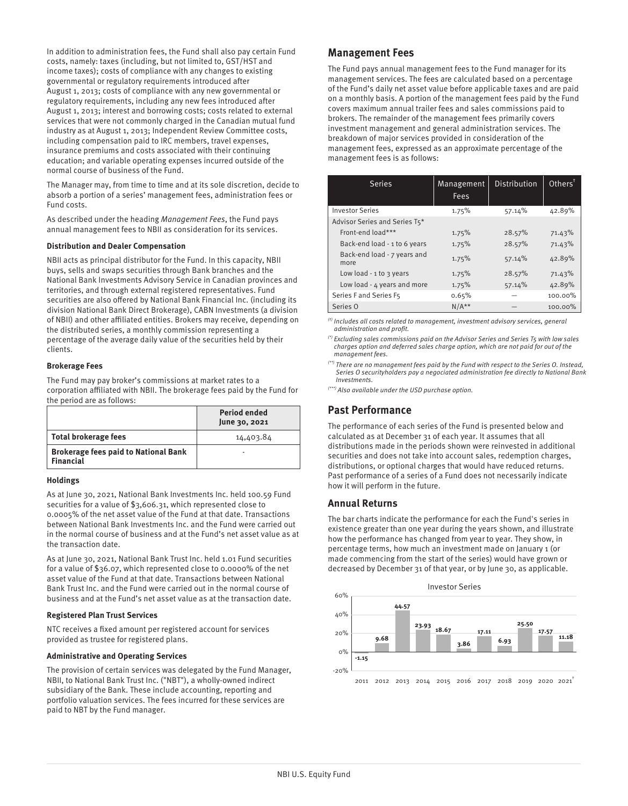In addition to administration fees, the Fund shall also pay certain Fund costs, namely: taxes (including, but not limited to, GST/HST and income taxes); costs of compliance with any changes to existing governmental or regulatory requirements introduced after August 1, 2013; costs of compliance with any new governmental or regulatory requirements, including any new fees introduced after August 1, 2013; interest and borrowing costs; costs related to external services that were not commonly charged in the Canadian mutual fund industry as at August 1, 2013; Independent Review Committee costs, including compensation paid to IRC members, travel expenses, insurance premiums and costs associated with their continuing education; and variable operating expenses incurred outside of the normal course of business of the Fund.

The Manager may, from time to time and at its sole discretion, decide to absorb a portion of a series' management fees, administration fees or Fund costs.

As described under the heading Management Fees, the Fund pays annual management fees to NBII as consideration for its services.

### **Distribution and Dealer Compensation**

NBII acts as principal distributor for the Fund. In this capacity, NBII buys, sells and swaps securities through Bank branches and the National Bank Investments Advisory Service in Canadian provinces and territories, and through external registered representatives. Fund securities are also offered by National Bank Financial Inc. (including its division National Bank Direct Brokerage), CABN Investments (a division of NBII) and other affiliated entities. Brokers may receive, depending on the distributed series, a monthly commission representing a percentage of the average daily value of the securities held by their clients.

### **Brokerage Fees**

The Fund may pay broker's commissions at market rates to a corporation affiliated with NBII. The brokerage fees paid by the Fund for the period are as follows:

|                                                                 | <b>Period ended</b><br>June 30, 2021 |
|-----------------------------------------------------------------|--------------------------------------|
| <b>Total brokerage fees</b>                                     | 14,403.84                            |
| <b>Brokerage fees paid to National Bank</b><br><b>Financial</b> |                                      |

### **Holdings**

As at June 30, 2021, National Bank Investments Inc. held 100.59 Fund securities for a value of \$3,606.31, which represented close to 0.0005% of the net asset value of the Fund at that date. Transactions between National Bank Investments Inc. and the Fund were carried out in the normal course of business and at the Fund's net asset value as at the transaction date.

As at June 30, 2021, National Bank Trust Inc. held 1.01 Fund securities for a value of \$36.07, which represented close to 0.0000% of the net asset value of the Fund at that date. Transactions between National Bank Trust Inc. and the Fund were carried out in the normal course of business and at the Fund's net asset value as at the transaction date.

### **Registered Plan Trust Services**

NTC receives a fixed amount per registered account for services provided as trustee for registered plans.

### **Administrative and Operating Services**

The provision of certain services was delegated by the Fund Manager, NBII, to National Bank Trust Inc. ("NBT"), a wholly-owned indirect subsidiary of the Bank. These include accounting, reporting and portfolio valuation services. The fees incurred for these services are paid to NBT by the Fund manager.

### **Management Fees**

The Fund pays annual management fees to the Fund manager for its management services. The fees are calculated based on a percentage of the Fund's daily net asset value before applicable taxes and are paid on a monthly basis. A portion of the management fees paid by the Fund covers maximum annual trailer fees and sales commissions paid to brokers. The remainder of the management fees primarily covers investment management and general administration services. The breakdown of major services provided in consideration of the management fees, expressed as an approximate percentage of the management fees is as follows:

| <b>Series</b>                       | Management | Distribution | Other <sup>†</sup> |
|-------------------------------------|------------|--------------|--------------------|
|                                     | Fees       |              |                    |
| <b>Investor Series</b>              | 1.75%      | 57.14%       | 42.89%             |
| Advisor Series and Series T5*       |            |              |                    |
| Front-end load***                   | 1.75%      | 28.57%       | 71.43%             |
| Back-end load - 1 to 6 years        | 1.75%      | 28.57%       | 71.43%             |
| Back-end load - 7 years and<br>more | 1.75%      | 57.14%       | 42.89%             |
| Low load - $1$ to $3$ years         | 1.75%      | 28.57%       | 71.43%             |
| Low load - 4 years and more         | 1.75%      | 57.14%       | 42.89%             |
| Series F and Series F5              | 0.65%      |              | 100.00%            |
| Series O                            | $N/A**$    |              | 100.00%            |

 $<sup>(t)</sup>$  Includes all costs related to management, investment advisory services, general</sup> administration and profit.

 $<sup>(*)</sup>$  Excluding sales commissions paid on the Advisor Series and Series T5 with low sales</sup> charges option and deferred sales charge option, which are not paid for out of the management fees.

(\*\*) There are no management fees paid by the Fund with respect to the Series O. Instead, Series O securityholders pay a negociated administration fee directly to National Bank Investments.

(\*\*\*) Also available under the USD purchase option.

## **Past Performance**

The performance of each series of the Fund is presented below and calculated as at December 31 of each year. It assumes that all distributions made in the periods shown were reinvested in additional securities and does not take into account sales, redemption charges, distributions, or optional charges that would have reduced returns. Past performance of a series of a Fund does not necessarily indicate how it will perform in the future.

### **Annual Returns**

The bar charts indicate the performance for each the Fund's series in existence greater than one year during the years shown, and illustrate how the performance has changed from year to year. They show, in percentage terms, how much an investment made on January 1 (or made commencing from the start of the series) would have grown or decreased by December 31 of that year, or by June 30, as applicable.

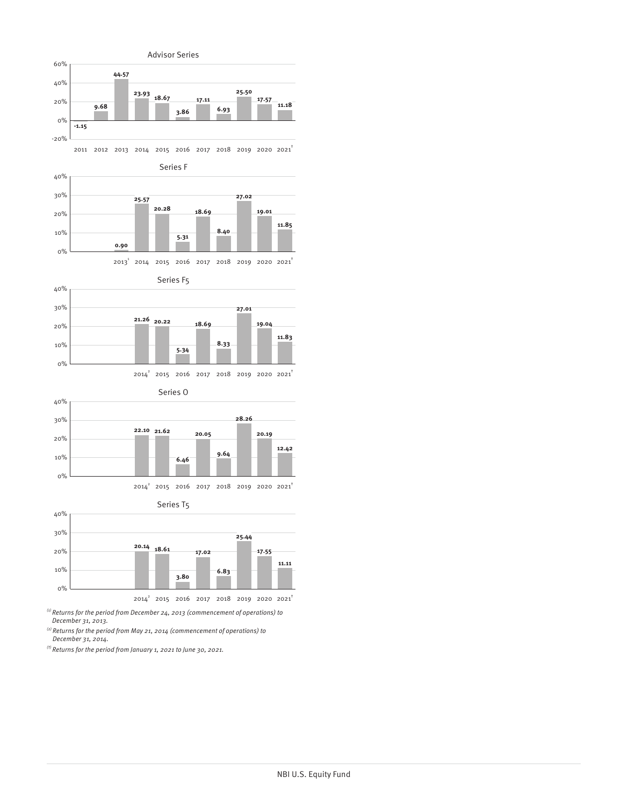

 $^{(i)}$  Returns for the period from December 24, 2013 (commencement of operations) to December 31, 2013.

 $^{(2)}$  Returns for the period from May 21, 2014 (commencement of operations) to December 31, 2014.

 $<sup>(t)</sup>$  Returns for the period from January 1, 2021 to June 30, 2021.</sup>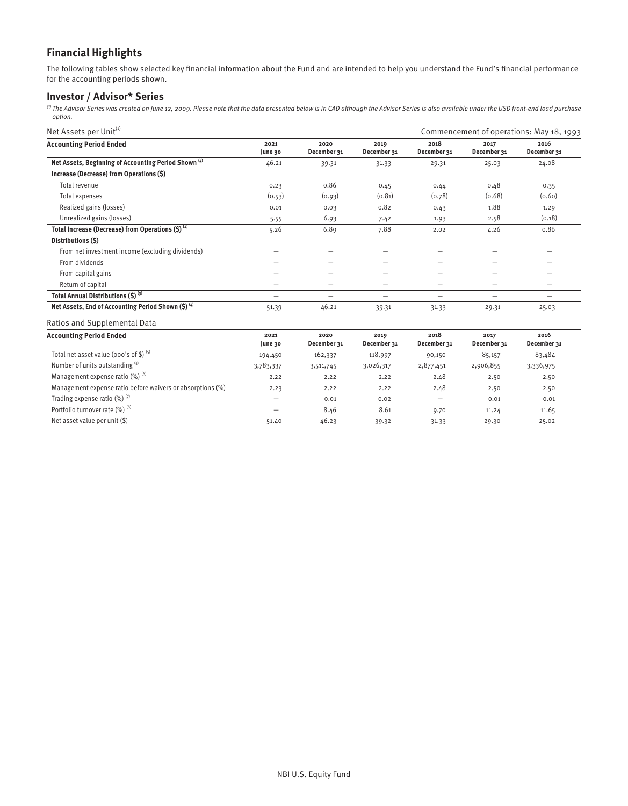## **Financial Highlights**

The following tables show selected key financial information about the Fund and are intended to help you understand the Fund's financial performance for the accounting periods shown.

## **Investor / Advisor\* Series**

 $^{\circ}$  The Advisor Series was created on June 12, 2009. Please note that the data presented below is in CAD although the Advisor Series is also available under the USD front-end load purchase option.

| Net Assets per Unit <sup>(1)</sup>                              |                 |                     |                     |                          | Commencement of operations: May 18, 1993 |                     |  |
|-----------------------------------------------------------------|-----------------|---------------------|---------------------|--------------------------|------------------------------------------|---------------------|--|
| <b>Accounting Period Ended</b>                                  | 2021<br>June 30 | 2020<br>December 31 | 2019<br>December 31 | 2018<br>December 31      | 2017<br>December 31                      | 2016<br>December 31 |  |
| Net Assets, Beginning of Accounting Period Shown <sup>(4)</sup> | 46.21           | 39.31               | 31.33               | 29.31                    | 25.03                                    | 24.08               |  |
| Increase (Decrease) from Operations (\$)                        |                 |                     |                     |                          |                                          |                     |  |
| Total revenue                                                   | 0.23            | 0.86                | 0.45                | 0.44                     | 0.48                                     | 0.35                |  |
| Total expenses                                                  | (0.53)          | (0.93)              | (0.81)              | (0.78)                   | (0.68)                                   | (0.60)              |  |
| Realized gains (losses)                                         | 0.01            | 0.03                | 0.82                | 0.43                     | 1.88                                     | 1.29                |  |
| Unrealized gains (losses)                                       | 5.55            | 6.93                | 7.42                | 1.93                     | 2.58                                     | (0.18)              |  |
| Total Increase (Decrease) from Operations $(5)^{(2)}$           | 5.26            | 6.89                | 7.88                | 2.02                     | 4.26                                     | 0.86                |  |
| Distributions (S)                                               |                 |                     |                     |                          |                                          |                     |  |
| From net investment income (excluding dividends)                |                 |                     |                     |                          |                                          |                     |  |
| From dividends                                                  |                 |                     |                     |                          |                                          |                     |  |
| From capital gains                                              | -               |                     | -                   | $\overline{\phantom{0}}$ | -                                        |                     |  |
| Return of capital                                               | -               |                     | -                   | $\overline{\phantom{0}}$ | -                                        |                     |  |
| Total Annual Distributions (\$) (3)                             | -               | -                   | -                   |                          | -                                        | -                   |  |
| Net Assets, End of Accounting Period Shown (\$) (4)             | 51.39           | 46.21               | 39.31               | 31.33                    | 29.31                                    | 25.03               |  |
| Ratios and Supplemental Data                                    |                 |                     |                     |                          |                                          |                     |  |

| <b>Accounting Period Ended</b>                             | 2021<br>June 30 | 2020<br>December 31 | 2019<br>December 31 | 2018<br>December 31 | 2017<br>December 31 | 2016<br>December 31 |  |
|------------------------------------------------------------|-----------------|---------------------|---------------------|---------------------|---------------------|---------------------|--|
| Total net asset value (000's of \$) $(5)$                  | 194,450         | 162,337             | 118,997             | 90,150              | 85,157              | 83,484              |  |
| Number of units outstanding (5)                            | 3,783,337       | 3,511,745           | 3,026,317           | 2,877,451           | 2,906,855           | 3,336,975           |  |
| Management expense ratio $(\%)$ <sup>(6)</sup>             | 2.22            | 2.22                | 2.22                | 2.48                | 2.50                | 2.50                |  |
| Management expense ratio before waivers or absorptions (%) | 2.23            | 2.22                | 2.22                | 2.48                | 2.50                | 2.50                |  |
| Trading expense ratio $(\%)$ <sup>(7)</sup>                |                 | 0.01                | 0.02                |                     | 0.01                | 0.01                |  |
| Portfolio turnover rate (%) (8)                            | —               | 8.46                | 8.61                | 9.70                | 11.24               | 11.65               |  |
| Net asset value per unit $(\$)$                            | 51.40           | 46.23               | 39.32               | 31.33               | 29.30               | 25.02               |  |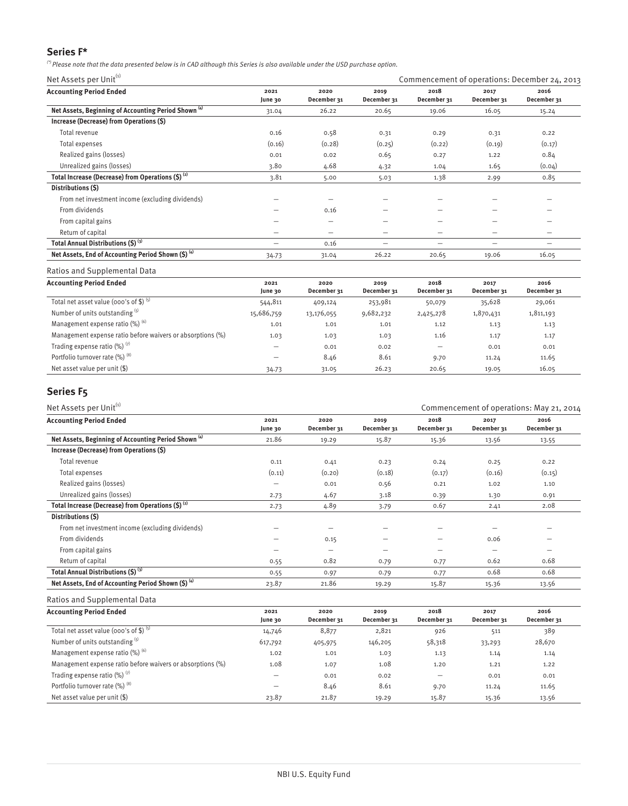## **Series F\***

 $'$ ? Please note that the data presented below is in CAD although this Series is also available under the USD purchase option.

Net Assets per Unit<sup>(1)</sup>  $\blacksquare$  Commencement of operations: December 24, 2013

| <b>Accounting Period Ended</b>                                  | 2021<br>June 30 | 2020<br>December 31 | 2019<br>December 31 | 2018<br>December 31 | 2017<br>December 31 | 2016<br>December 31 |
|-----------------------------------------------------------------|-----------------|---------------------|---------------------|---------------------|---------------------|---------------------|
| Net Assets, Beginning of Accounting Period Shown <sup>(4)</sup> | 31.04           | 26.22               | 20.65               | 19.06               | 16.05               | 15.24               |
| Increase (Decrease) from Operations (\$)                        |                 |                     |                     |                     |                     |                     |
| Total revenue                                                   | 0.16            | 0.58                | 0.31                | 0.29                | 0.31                | 0.22                |
| Total expenses                                                  | (0.16)          | (0.28)              | (0.25)              | (0.22)              | (0.19)              | (0.17)              |
| Realized gains (losses)                                         | 0.01            | 0.02                | 0.65                | 0.27                | 1.22                | 0.84                |
| Unrealized gains (losses)                                       | 3.80            | 4.68                | 4.32                | 1.04                | 1.65                | (0.04)              |
| Total Increase (Decrease) from Operations (\$) <sup>(2)</sup>   | 3.81            | 5.00                | 5.03                | 1.38                | 2.99                | 0.85                |
| Distributions (\$)                                              |                 |                     |                     |                     |                     |                     |
| From net investment income (excluding dividends)                |                 |                     |                     |                     |                     |                     |
| From dividends                                                  |                 | 0.16                |                     | -                   | -                   |                     |
| From capital gains                                              |                 |                     | -                   | -                   | -                   |                     |
| Return of capital                                               | -               |                     |                     |                     | -                   |                     |
| Total Annual Distributions (\$) (3)                             |                 | 0.16                | –                   | -                   | -                   | -                   |
| Net Assets, End of Accounting Period Shown (\$) (4)             | 34.73           | 31.04               | 26.22               | 20.65               | 19.06               | 16.05               |

### Ratios and Supplemental Data

| <b>Accounting Period Ended</b>                             | 2021<br>June 30          | 2020<br>December 31 | 2019<br>December 31 | 2018<br>December 31 | 2017<br>December 31 | 2016<br>December 31 |
|------------------------------------------------------------|--------------------------|---------------------|---------------------|---------------------|---------------------|---------------------|
| Total net asset value (000's of \$) $(5)$                  | 544,811                  | 409,124             | 253,981             | 50,079              | 35,628              | 29,061              |
| Number of units outstanding (5)                            | 15,686,759               | 13,176,055          | 9,682,232           | 2,425,278           | 1,870,431           | 1,811,193           |
| Management expense ratio $(\%)$ <sup>(6)</sup>             | 1.01                     | 1.01                | 1.01                | 1.12                | 1.13                | 1.13                |
| Management expense ratio before waivers or absorptions (%) | 1.03                     | 1.03                | 1.03                | 1.16                | 1.17                | 1.17                |
| Trading expense ratio $(\%)$ <sup>(7)</sup>                | $\overline{\phantom{0}}$ | 0.01                | 0.02                | -                   | 0.01                | 0.01                |
| Portfolio turnover rate (%) (8)                            | $\overline{\phantom{0}}$ | 8.46                | 8.61                | 9.70                | 11.24               | 11.65               |
| Net asset value per unit (\$)                              | 34.73                    | 31.05               | 26.23               | 20.65               | 19.05               | 16.05               |

## **Series F5**

| Net Assets per Unit <sup>(1)</sup>                              |                          |                     |                          | Commencement of operations: May 21, 2014 |                     |                          |  |
|-----------------------------------------------------------------|--------------------------|---------------------|--------------------------|------------------------------------------|---------------------|--------------------------|--|
| <b>Accounting Period Ended</b>                                  | 2021<br>June 30          | 2020<br>December 31 | 2019<br>December 31      | 2018<br>December 31                      | 2017<br>December 31 | 2016<br>December 31      |  |
| Net Assets, Beginning of Accounting Period Shown <sup>(4)</sup> | 21.86                    | 19.29               | 15.87                    | 15.36                                    | 13.56               | 13.55                    |  |
| Increase (Decrease) from Operations (\$)                        |                          |                     |                          |                                          |                     |                          |  |
| Total revenue                                                   | 0.11                     | 0.41                | 0.23                     | 0.24                                     | 0.25                | 0.22                     |  |
| Total expenses                                                  | (0.11)                   | (0.20)              | (0.18)                   | (0.17)                                   | (0.16)              | (0.15)                   |  |
| Realized gains (losses)                                         | -                        | 0.01                | 0.56                     | 0.21                                     | 1.02                | 1.10                     |  |
| Unrealized gains (losses)                                       | 2.73                     | 4.67                | 3.18                     | 0.39                                     | 1.30                | 0.91                     |  |
| Total Increase (Decrease) from Operations $(S)$ <sup>(2)</sup>  | 2.73                     | 4.89                | 3.79                     | 0.67                                     | 2.41                | 2.08                     |  |
| Distributions (S)                                               |                          |                     |                          |                                          |                     |                          |  |
| From net investment income (excluding dividends)                |                          |                     |                          |                                          |                     | -                        |  |
| From dividends                                                  | $\overline{\phantom{0}}$ | 0.15                | $\overline{\phantom{m}}$ | -                                        | 0.06                | $\overline{\phantom{0}}$ |  |
| From capital gains                                              |                          |                     |                          |                                          |                     |                          |  |
| Return of capital                                               | 0.55                     | 0.82                | 0.79                     | 0.77                                     | 0.62                | 0.68                     |  |
| Total Annual Distributions (\$) (3)                             | 0.55                     | 0.97                | 0.79                     | 0.77                                     | 0.68                | 0.68                     |  |
| Net Assets, End of Accounting Period Shown $(5)^{(4)}$          | 23.87                    | 21.86               | 19.29                    | 15.87                                    | 15.36               | 13.56                    |  |

### Ratios and Supplemental Data

| <b>Accounting Period Ended</b>                             | 2021<br>June 30 | 2020<br>December 31 | 2019<br>December 31 | 2018<br>December 31 | 2017<br>December 31 | 2016<br>December 31 |
|------------------------------------------------------------|-----------------|---------------------|---------------------|---------------------|---------------------|---------------------|
| Total net asset value (000's of \$) $(5)$                  | 14,746          | 8,877               | 2,821               | 926                 | 511                 | 389                 |
| Number of units outstanding (5)                            | 617,792         | 405,975             | 146,205             | 58,318              | 33,293              | 28,670              |
| Management expense ratio (%) (6)                           | 1.02            | 1.01                | 1.03                | 1.13                | 1.14                | 1.14                |
| Management expense ratio before waivers or absorptions (%) | 1.08            | 1.07                | 1.08                | 1.20                | 1.21                | 1.22                |
| Trading expense ratio $(\%)$ <sup>(7)</sup>                |                 | 0.01                | 0.02                |                     | 0.01                | 0.01                |
| Portfolio turnover rate (%) (8)                            | -               | 8.46                | 8.61                | 9.70                | 11.24               | 11.65               |
| Net asset value per unit $(\$)$                            | 23.87           | 21.87               | 19.29               | 15.87               | 15.36               | 13.56               |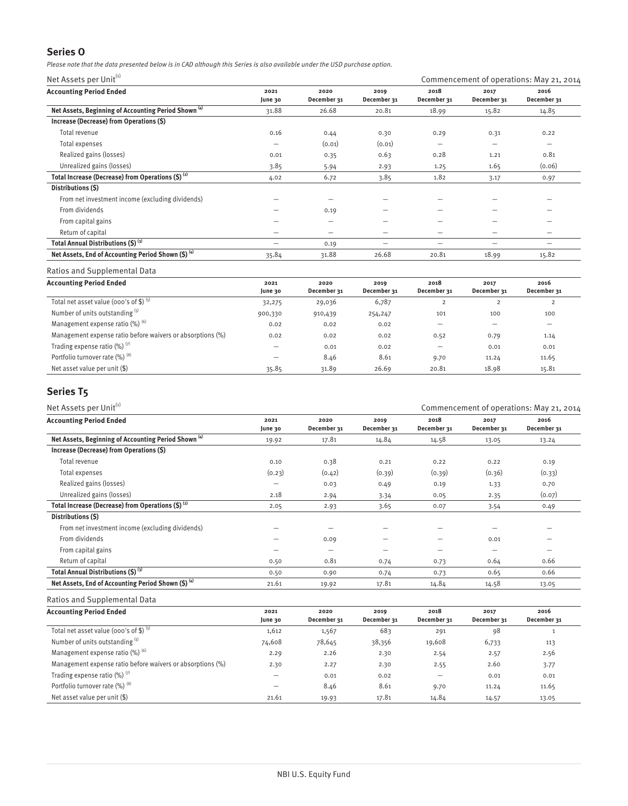## **Series O**

Please note that the data presented below is in CAD although this Series is also available under the USD purchase option.

Net Assets per Unit $^{(i)}$  Commencement of operations: May 21, 2014

| <b>Accounting Period Ended</b>                                  | 2021<br>June 30          | 2020<br>December 31      | 2019<br>December 31 | 2018<br>December 31      | 2017<br>December 31      | 2016<br>December 31      |
|-----------------------------------------------------------------|--------------------------|--------------------------|---------------------|--------------------------|--------------------------|--------------------------|
| Net Assets, Beginning of Accounting Period Shown <sup>(4)</sup> | 31.88                    | 26.68                    | 20.81               | 18.99                    | 15.82                    | 14.85                    |
| Increase (Decrease) from Operations (\$)                        |                          |                          |                     |                          |                          |                          |
| Total revenue                                                   | 0.16                     | 0.44                     | 0.30                | 0.29                     | 0.31                     | 0.22                     |
| Total expenses                                                  | $\overline{\phantom{m}}$ | (0.01)                   | (0.01)              | $\overline{\phantom{0}}$ | $\overline{\phantom{0}}$ | $\overline{\phantom{m}}$ |
| Realized gains (losses)                                         | 0.01                     | 0.35                     | 0.63                | 0.28                     | 1.21                     | 0.81                     |
| Unrealized gains (losses)                                       | 3.85                     | 5.94                     | 2.93                | 1.25                     | 1.65                     | (0.06)                   |
| Total Increase (Decrease) from Operations $(S)$ <sup>(2)</sup>  | 4.02                     | 6.72                     | 3.85                | 1.82                     | 3.17                     | 0.97                     |
| Distributions (\$)                                              |                          |                          |                     |                          |                          |                          |
| From net investment income (excluding dividends)                |                          |                          |                     |                          |                          |                          |
| From dividends                                                  |                          | 0.19                     | -                   |                          |                          |                          |
| From capital gains                                              |                          | $\overline{\phantom{0}}$ | -                   |                          | –                        |                          |
| Return of capital                                               | -                        | $\overline{\phantom{0}}$ | —                   | -                        | -                        |                          |
| Total Annual Distributions (\$) (3)                             | -                        | 0.19                     | –                   |                          | -                        |                          |
| Net Assets, End of Accounting Period Shown (\$) (4)             | 35.84                    | 31.88                    | 26.68               | 20.81                    | 18.99                    | 15.82                    |

### Ratios and Supplemental Data

| <b>Accounting Period Ended</b>                             | 2021<br>June 30          | 2020<br>December 31 | 2019<br>December 31 | 2018<br>December 31 | 2017<br>December 31 | 2016<br>December 31      |
|------------------------------------------------------------|--------------------------|---------------------|---------------------|---------------------|---------------------|--------------------------|
| Total net asset value (000's of \$) $(5)$                  | 32,275                   | 29,036              | 6,787               |                     |                     |                          |
| Number of units outstanding (5)                            | 900,330                  | 910,439             | 254,247             | 101                 | 100                 | 100                      |
| Management expense ratio $(\%)$ <sup>(6)</sup>             | 0.02                     | 0.02                | 0.02                | –                   |                     | $\overline{\phantom{0}}$ |
| Management expense ratio before waivers or absorptions (%) | 0.02                     | 0.02                | 0.02                | 0.52                | 0.79                | 1.14                     |
| Trading expense ratio $(\%)$ <sup>(7)</sup>                | $\overline{\phantom{0}}$ | 0.01                | 0.02                | –                   | 0.01                | 0.01                     |
| Portfolio turnover rate (%) (8)                            | $\overline{\phantom{0}}$ | 8.46                | 8.61                | 9.70                | 11.24               | 11.65                    |
| Net asset value per unit (\$)                              | 35.85                    | 31.89               | 26.69               | 20.81               | 18.98               | 15.81                    |

## **Series T5**

| Net Assets per Unit <sup>(1)</sup>                              |                 |                     |                     | Commencement of operations: May 21, 2014 |                     |                     |  |
|-----------------------------------------------------------------|-----------------|---------------------|---------------------|------------------------------------------|---------------------|---------------------|--|
| <b>Accounting Period Ended</b>                                  | 2021<br>June 30 | 2020<br>December 31 | 2019<br>December 31 | 2018<br>December 31                      | 2017<br>December 31 | 2016<br>December 31 |  |
| Net Assets, Beginning of Accounting Period Shown <sup>(4)</sup> | 19.92           | 17.81               | 14.84               | 14.58                                    | 13.05               | 13.24               |  |
| Increase (Decrease) from Operations (\$)                        |                 |                     |                     |                                          |                     |                     |  |
| Total revenue                                                   | 0.10            | 0.38                | 0.21                | 0.22                                     | 0.22                | 0.19                |  |
| Total expenses                                                  | (0.23)          | (0.42)              | (0.39)              | (0.39)                                   | (0.36)              | (0.33)              |  |
| Realized gains (losses)                                         |                 | 0.03                | 0.49                | 0.19                                     | 1.33                | 0.70                |  |
| Unrealized gains (losses)                                       | 2.18            | 2.94                | 3.34                | 0.05                                     | 2.35                | (0.07)              |  |
| Total Increase (Decrease) from Operations (\$) <sup>(2)</sup>   | 2.05            | 2.93                | 3.65                | 0.07                                     | 3.54                | 0.49                |  |
| Distributions (S)                                               |                 |                     |                     |                                          |                     |                     |  |
| From net investment income (excluding dividends)                |                 |                     |                     |                                          |                     |                     |  |
| From dividends                                                  |                 | 0.09                |                     |                                          | 0.01                |                     |  |
| From capital gains                                              | -               |                     | -                   |                                          |                     |                     |  |
| Return of capital                                               | 0.50            | 0.81                | 0.74                | 0.73                                     | 0.64                | 0.66                |  |
| Total Annual Distributions (\$) (3)                             | 0.50            | 0.90                | 0.74                | 0.73                                     | 0.65                | 0.66                |  |
| Net Assets, End of Accounting Period Shown $(5)^{(4)}$          | 21.61           | 19.92               | 17.81               | 14.84                                    | 14.58               | 13.05               |  |

### Ratios and Supplemental Data

| <b>Accounting Period Ended</b>                             | 2021<br>June 30          | 2020<br>December 31 | 2019<br>December 31 | 2018<br>December 31 | 2017<br>December 31 | 2016<br>December 31 |
|------------------------------------------------------------|--------------------------|---------------------|---------------------|---------------------|---------------------|---------------------|
| Total net asset value (000's of \$) $(5)$                  | 1,612                    | 1,567               | 683                 | 291                 | 98                  |                     |
| Number of units outstanding (5)                            | 74,608                   | 78,645              | 38,356              | 19,608              | 6,733               | 113                 |
| Management expense ratio (%) (6)                           | 2.29                     | 2.26                | 2.30                | 2.54                | 2.57                | 2.56                |
| Management expense ratio before waivers or absorptions (%) | 2.30                     | 2.27                | 2.30                | 2.55                | 2.60                | 3.77                |
| Trading expense ratio $(\%)$ <sup>(7)</sup>                |                          | 0.01                | 0.02                |                     | 0.01                | 0.01                |
| Portfolio turnover rate (%) <sup>(8)</sup>                 | $\overline{\phantom{0}}$ | 8.46                | 8.61                | 9.70                | 11.24               | 11.65               |
| Net asset value per unit $(\$)$                            | 21.61                    | 19.93               | 17.81               | 14.84               | 14.57               | 13.05               |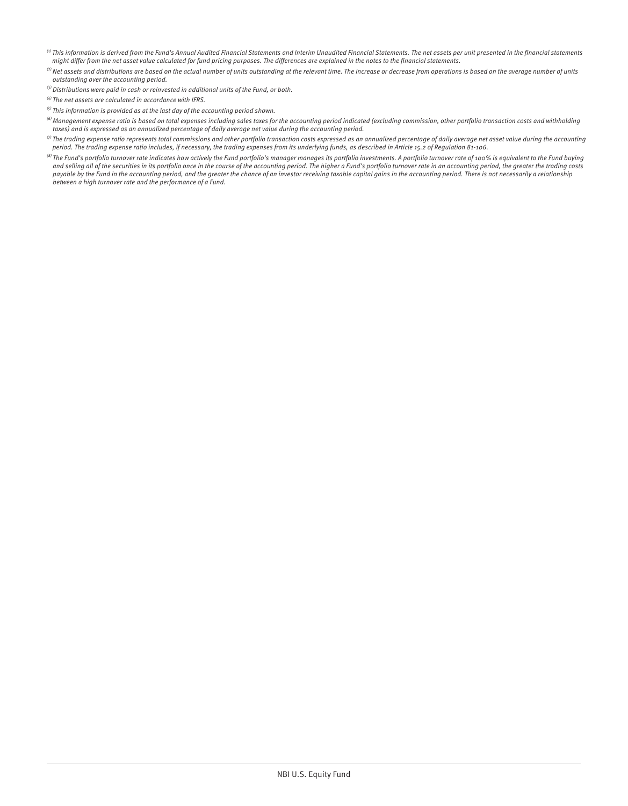- ${}^{(i)}$  This information is derived from the Fund's Annual Audited Financial Statements and Interim Unaudited Financial Statements. The net assets per unit presented in the financial statements might differ from the net asset value calculated for fund pricing purposes. The differences are explained in the notes to the financial statements.
- $^{(2)}$  Net assets and distributions are based on the actual number of units outstanding at the relevant time. The increase or decrease from operations is based on the average number of units outstanding over the accounting period.
- $^{(3)}$  Distributions were paid in cash or reinvested in additional units of the Fund, or both.
- $^{(4)}$  The net assets are calculated in accordance with IFRS.
- $<sup>(5)</sup>$  This information is provided as at the last day of the accounting period shown.</sup>
- $^{(6)}$ Management expense ratio is based on total expenses including sales taxes for the accounting period indicated (excluding commission, other portfolio transaction costs and withholding taxes) and is expressed as an annualized percentage of daily average net value during the accounting period.
- $\,^{\circ}$  The trading expense ratio represents total commissions and other portfolio transaction costs expressed as an annualized percentage of daily average net asset value during the accounting period. The trading expense ratio includes, if necessary, the trading expenses from its underlying funds, as described in Article 15.2 of Regulation 81-106.
- <sup>(8)</sup> The Fund's portfolio turnover rate indicates how actively the Fund portfolio's manager manages its portfolio investments. A portfolio turnover rate of 100% is equivalent to the Fund buying and selling all of the securities in its portfolio once in the course of the accounting period. The higher a Fund's portfolio turnover rate in an accounting period, the greater the trading costs payable by the Fund in the accounting period, and the greater the chance of an investor receiving taxable capital gains in the accounting period. There is not necessarily a relationship between a high turnover rate and the performance of a Fund.